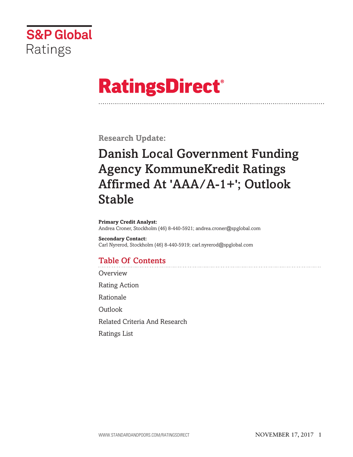

# **RatingsDirect®**

**Research Update:**

# **Danish Local Government Funding Agency KommuneKredit Ratings Affirmed At 'AAA/A-1+'; Outlook Stable**

**Primary Credit Analyst:** Andrea Croner, Stockholm (46) 8-440-5921; andrea.croner@spglobal.com

**Secondary Contact:** Carl Nyrerod, Stockholm (46) 8-440-5919; carl.nyrerod@spglobal.com

### **Table Of Contents**

**[Overview](#page-1-0)** 

Rating [Action](#page-1-0)

[Rationale](#page-1-0)

**[Outlook](#page-4-0)** 

Related Criteria And [Research](#page-5-0)

[Ratings](#page-5-0) List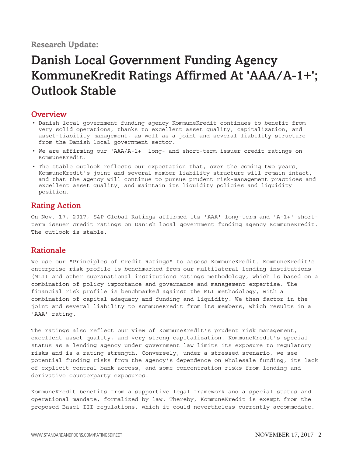#### <span id="page-1-0"></span>**Overview**

- Danish local government funding agency KommuneKredit continues to benefit from very solid operations, thanks to excellent asset quality, capitalization, and asset-liability management, as well as a joint and several liability structure from the Danish local government sector.
- We are affirming our 'AAA/A-1+' long- and short-term issuer credit ratings on KommuneKredit.
- The stable outlook reflects our expectation that, over the coming two years, KommuneKredit's joint and several member liability structure will remain intact, and that the agency will continue to pursue prudent risk-management practices and excellent asset quality, and maintain its liquidity policies and liquidity position.

#### **Rating Action**

On Nov. 17, 2017, S&P Global Ratings affirmed its 'AAA' long-term and 'A-1+' shortterm issuer credit ratings on Danish local government funding agency KommuneKredit. The outlook is stable.

#### **Rationale**

We use our "Principles of Credit Ratings" to assess KommuneKredit. KommuneKredit's enterprise risk profile is benchmarked from our multilateral lending institutions (MLI) and other supranational institutions ratings methodology, which is based on a combination of policy importance and governance and management expertise. The financial risk profile is benchmarked against the MLI methodology, with a combination of capital adequacy and funding and liquidity. We then factor in the joint and several liability to KommuneKredit from its members, which results in a 'AAA' rating.

The ratings also reflect our view of KommuneKredit's prudent risk management, excellent asset quality, and very strong capitalization. KommuneKredit's special status as a lending agency under government law limits its exposure to regulatory risks and is a rating strength. Conversely, under a stressed scenario, we see potential funding risks from the agency's dependence on wholesale funding, its lack of explicit central bank access, and some concentration risks from lending and derivative counterparty exposures.

KommuneKredit benefits from a supportive legal framework and a special status and operational mandate, formalized by law. Thereby, KommuneKredit is exempt from the proposed Basel III regulations, which it could nevertheless currently accommodate.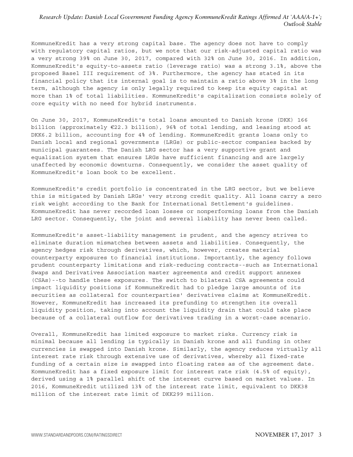KommuneKredit has a very strong capital base. The agency does not have to comply with regulatory capital ratios, but we note that our risk-adjusted capital ratio was a very strong 39% on June 30, 2017, compared with 32% on June 30, 2016. In addition, KommuneKredit's equity-to-assets ratio (leverage ratio) was a strong 3.1%, above the proposed Basel III requirement of 3%. Furthermore, the agency has stated in its financial policy that its internal goal is to maintain a ratio above 3% in the long term, although the agency is only legally required to keep its equity capital at more than 1% of total liabilities. KommuneKredit's capitalization consists solely of core equity with no need for hybrid instruments.

On June 30, 2017, KommuneKredit's total loans amounted to Danish krone (DKK) 166 billion (approximately €22.3 billion), 96% of total lending, and leasing stood at DKK6.2 billion, accounting for 4% of lending. KommuneKredit grants loans only to Danish local and regional governments (LRGs) or public-sector companies backed by municipal guarantees. The Danish LRG sector has a very supportive grant and equalization system that ensures LRGs have sufficient financing and are largely unaffected by economic downturns. Consequently, we consider the asset quality of KommuneKredit's loan book to be excellent.

KommuneKredit's credit portfolio is concentrated in the LRG sector, but we believe this is mitigated by Danish LRGs' very strong credit quality. All loans carry a zero risk weight according to the Bank for International Settlement's guidelines. KommuneKredit has never recorded loan losses or nonperforming loans from the Danish LRG sector. Consequently, the joint and several liability has never been called.

KommuneKredit's asset-liability management is prudent, and the agency strives to eliminate duration mismatches between assets and liabilities. Consequently, the agency hedges risk through derivatives, which, however, creates material counterparty exposures to financial institutions. Importantly, the agency follows prudent counterparty limitations and risk-reducing contracts--such as International Swaps and Derivatives Association master agreements and credit support annexes (CSAs)--to handle these exposures. The switch to bilateral CSA agreements could impact liquidity positions if KommuneKredit had to pledge large amounts of its securities as collateral for counterparties' derivatives claims at KommuneKredit. However, KommuneKredit has increased its prefunding to strengthen its overall liquidity position, taking into account the liquidity drain that could take place because of a collateral outflow for derivatives trading in a worst-case scenario.

Overall, KommuneKredit has limited exposure to market risks. Currency risk is minimal because all lending is typically in Danish krone and all funding in other currencies is swapped into Danish krone. Similarly, the agency reduces virtually all interest rate risk through extensive use of derivatives, whereby all fixed-rate funding of a certain size is swapped into floating rates as of the agreement date. KommuneKredit has a fixed exposure limit for interest rate risk (4.5% of equity), derived using a 1% parallel shift of the interest curve based on market values. In 2016, KommuneKredit utilized 13% of the interest rate limit, equivalent to DKK38 million of the interest rate limit of DKK299 million.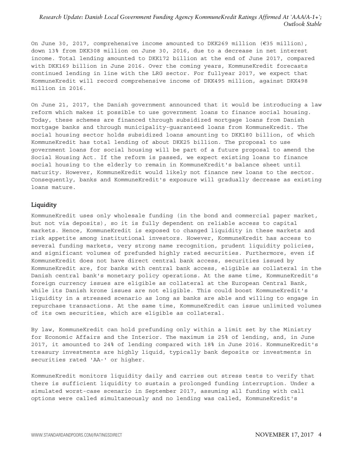On June 30, 2017, comprehensive income amounted to DKK269 million ( $€35$  million), down 13% from DKK308 million on June 30, 2016, due to a decrease in net interest income. Total lending amounted to DKK172 billion at the end of June 2017, compared with DKK169 billion in June 2016. Over the coming years, KommuneKredit forecasts continued lending in line with the LRG sector. For fullyear 2017, we expect that KommuneKredit will record comprehensive income of DKK495 million, against DKK498 million in 2016.

On June 21, 2017, the Danish government announced that it would be introducing a law reform which makes it possible to use government loans to finance social housing. Today, these schemes are financed through subsidized mortgage loans from Danish mortgage banks and through municipality-guaranteed loans from KommuneKredit. The social housing sector holds subsidized loans amounting to DKK180 billion, of which KommuneKredit has total lending of about DKK25 billion. The proposal to use government loans for social housing will be part of a future proposal to amend the Social Housing Act. If the reform is passed, we expect existing loans to finance social housing to the elderly to remain in KommuneKredit's balance sheet until maturity. However, KommuneKredit would likely not finance new loans to the sector. Consequently, banks and KommuneKredit's exposure will gradually decrease as existing loans mature.

#### **Liquidity**

KommuneKredit uses only wholesale funding (in the bond and commercial paper market, but not via deposits), so it is fully dependent on reliable access to capital markets. Hence, KommuneKredit is exposed to changed liquidity in these markets and risk appetite among institutional investors. However, KommuneKredit has access to several funding markets, very strong name recognition, prudent liquidity policies, and significant volumes of prefunded highly rated securities. Furthermore, even if KommuneKredit does not have direct central bank access, securities issued by KommuneKredit are, for banks with central bank access, eligible as collateral in the Danish central bank's monetary policy operations. At the same time, KommuneKredit's foreign currency issues are eligible as collateral at the European Central Bank, while its Danish krone issues are not eligible. This could boost KommuneKredit's liquidity in a stressed scenario as long as banks are able and willing to engage in repurchase transactions. At the same time, KommuneKredit can issue unlimited volumes of its own securities, which are eligible as collateral.

By law, KommuneKredit can hold prefunding only within a limit set by the Ministry for Economic Affairs and the Interior. The maximum is 25% of lending, and, in June 2017, it amounted to 24% of lending compared with 18% in June 2016. KommuneKredit's treasury investments are highly liquid, typically bank deposits or investments in securities rated 'AA-' or higher.

KommuneKredit monitors liquidity daily and carries out stress tests to verify that there is sufficient liquidity to sustain a prolonged funding interruption. Under a simulated worst-case scenario in September 2017, assuming all funding with call options were called simultaneously and no lending was called, KommuneKredit's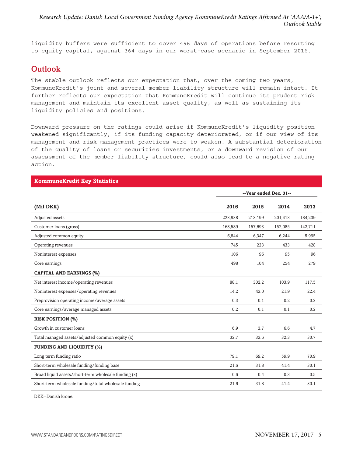<span id="page-4-0"></span>liquidity buffers were sufficient to cover 496 days of operations before resorting to equity capital, against 364 days in our worst-case scenario in September 2016.

#### **Outlook**

The stable outlook reflects our expectation that, over the coming two years, KommuneKredit's joint and several member liability structure will remain intact. It further reflects our expectation that KommuneKredit will continue its prudent risk management and maintain its excellent asset quality, as well as sustaining its liquidity policies and positions.

Downward pressure on the ratings could arise if KommuneKredit's liquidity position weakened significantly, if its funding capacity deteriorated, or if our view of its management and risk-management practices were to weaken. A substantial deterioration of the quality of loans or securities investments, or a downward revision of our assessment of the member liability structure, could also lead to a negative rating action.

| <b>KommuneKredit Key Statistics</b>                  |                        |         |         |         |  |  |
|------------------------------------------------------|------------------------|---------|---------|---------|--|--|
|                                                      | --Year ended Dec. 31-- |         |         |         |  |  |
| (Mil DKK)                                            | 2016                   | 2015    | 2014    | 2013    |  |  |
| Adjusted assets                                      | 223,938                | 213,199 | 201,413 | 184,239 |  |  |
| Customer loans (gross)                               | 168,589                | 157,693 | 152,085 | 142,711 |  |  |
| Adjusted common equity                               | 6,844                  | 6,347   | 6,244   | 5,995   |  |  |
| Operating revenues                                   | 745                    | 223     | 433     | 428     |  |  |
| Noninterest expenses                                 | 106                    | 96      | 95      | 96      |  |  |
| Core earnings                                        | 498                    | 104     | 254     | 279     |  |  |
| <b>CAPITAL AND EARNINGS (%)</b>                      |                        |         |         |         |  |  |
| Net interest income/operating revenues               | 88.1                   | 302.2   | 103.9   | 117.5   |  |  |
| Noninterest expenses/operating revenues              | 14.2                   | 43.0    | 21.9    | 22.4    |  |  |
| Preprovision operating income/average assets         | 0.3                    | 0.1     | 0.2     | 0.2     |  |  |
| Core earnings/average managed assets                 | 0.2                    | 0.1     | 0.1     | 0.2     |  |  |
| <b>RISK POSITION (%)</b>                             |                        |         |         |         |  |  |
| Growth in customer loans                             | 6.9                    | 3.7     | 6.6     | 4.7     |  |  |
| Total managed assets/adjusted common equity (x)      | 32.7                   | 33.6    | 32.3    | 30.7    |  |  |
| <b>FUNDING AND LIQUIDITY (%)</b>                     |                        |         |         |         |  |  |
| Long term funding ratio                              | 79.1                   | 69.2    | 59.9    | 70.9    |  |  |
| Short-term wholesale funding/funding base            | 21.6                   | 31.8    | 41.4    | 30.1    |  |  |
| Broad liquid assets/short-term wholesale funding (x) | 0.6                    | 0.4     | 0.3     | 0.5     |  |  |
| Short-term wholesale funding/total wholesale funding | 21.6                   | 31.8    | 41.4    | 30.1    |  |  |

DKK--Danish krone.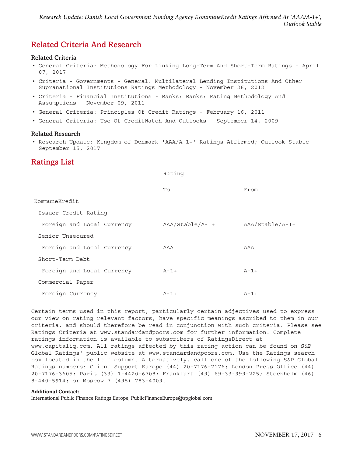#### <span id="page-5-0"></span>**Related Criteria And Research**

#### **Related Criteria**

- General Criteria: Methodology For Linking Long-Term And Short-Term Ratings April 07, 2017
- Criteria Governments General: Multilateral Lending Institutions And Other Supranational Institutions Ratings Methodology - November 26, 2012
- Criteria Financial Institutions Banks: Banks: Rating Methodology And Assumptions - November 09, 2011
- General Criteria: Principles Of Credit Ratings February 16, 2011
- General Criteria: Use Of CreditWatch And Outlooks September 14, 2009

#### **Related Research**

• Research Update: Kingdom of Denmark 'AAA/A-1+' Ratings Affirmed; Outlook Stable - September 15, 2017

#### **Ratings List**

#### Rating

|                            | To              | From            |
|----------------------------|-----------------|-----------------|
| KommuneKredit              |                 |                 |
| Issuer Credit Rating       |                 |                 |
| Foreign and Local Currency | AAA/Stable/A-1+ | AAA/Stable/A-1+ |
| Senior Unsecured           |                 |                 |
| Foreign and Local Currency | AAA             | AAA             |
| Short-Term Debt            |                 |                 |
| Foreign and Local Currency | $A - 1 +$       | $A - 1 +$       |
| Commercial Paper           |                 |                 |
| Foreign Currency           | $A-1+$          | $A - 1 +$       |

Certain terms used in this report, particularly certain adjectives used to express our view on rating relevant factors, have specific meanings ascribed to them in our criteria, and should therefore be read in conjunction with such criteria. Please see Ratings Criteria at www.standardandpoors.com for further information. Complete ratings information is available to subscribers of RatingsDirect at www.capitaliq.com. All ratings affected by this rating action can be found on S&P Global Ratings' public website at www.standardandpoors.com. Use the Ratings search box located in the left column. Alternatively, call one of the following S&P Global Ratings numbers: Client Support Europe (44) 20-7176-7176; London Press Office (44) 20-7176-3605; Paris (33) 1-4420-6708; Frankfurt (49) 69-33-999-225; Stockholm (46) 8-440-5914; or Moscow 7 (495) 783-4009.

#### **Additional Contact:**

International Public Finance Ratings Europe; PublicFinanceEurope@spglobal.com